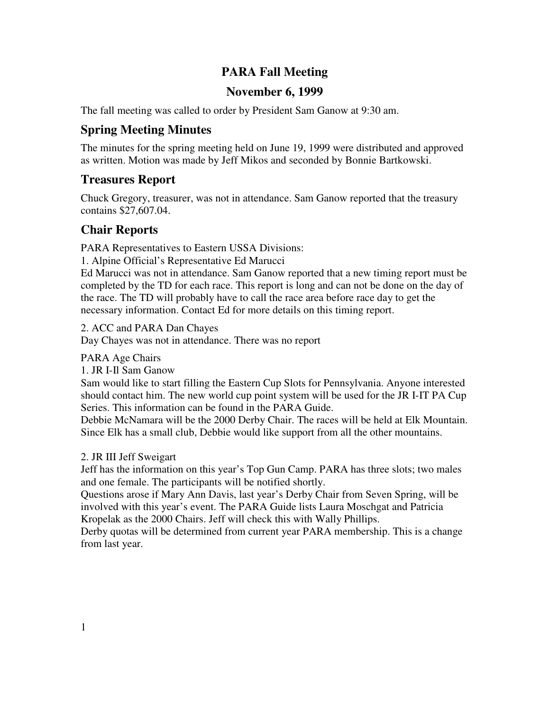### **PARA Fall Meeting**

#### **November 6, 1999**

The fall meeting was called to order by President Sam Ganow at 9:30 am.

### **Spring Meeting Minutes**

The minutes for the spring meeting held on June 19, 1999 were distributed and approved as written. Motion was made by Jeff Mikos and seconded by Bonnie Bartkowski.

#### **Treasures Report**

Chuck Gregory, treasurer, was not in attendance. Sam Ganow reported that the treasury contains \$27,607.04.

# **Chair Reports**

PARA Representatives to Eastern USSA Divisions:

1. Alpine Official's Representative Ed Marucci

Ed Marucci was not in attendance. Sam Ganow reported that a new timing report must be completed by the TD for each race. This report is long and can not be done on the day of the race. The TD will probably have to call the race area before race day to get the necessary information. Contact Ed for more details on this timing report.

2. ACC and PARA Dan Chayes Day Chayes was not in attendance. There was no report

PARA Age Chairs

1. JR I-Il Sam Ganow

Sam would like to start filling the Eastern Cup Slots for Pennsylvania. Anyone interested should contact him. The new world cup point system will be used for the JR I-IT PA Cup Series. This information can be found in the PARA Guide.

Debbie McNamara will be the 2000 Derby Chair. The races will be held at Elk Mountain. Since Elk has a small club, Debbie would like support from all the other mountains.

#### 2. JR III Jeff Sweigart

Jeff has the information on this year's Top Gun Camp. PARA has three slots; two males and one female. The participants will be notified shortly.

Questions arose if Mary Ann Davis, last year's Derby Chair from Seven Spring, will be involved with this year's event. The PARA Guide lists Laura Moschgat and Patricia Kropelak as the 2000 Chairs. Jeff will check this with Wally Phillips.

Derby quotas will be determined from current year PARA membership. This is a change from last year.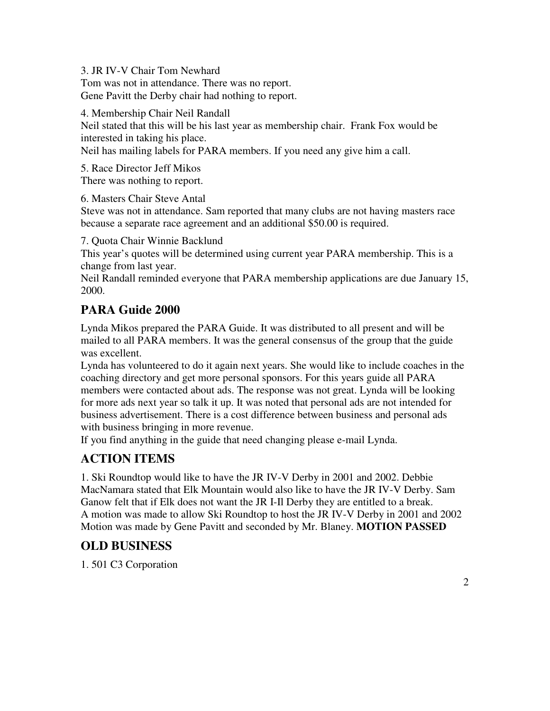3. JR IV-V Chair Tom Newhard

Tom was not in attendance. There was no report. Gene Pavitt the Derby chair had nothing to report.

4. Membership Chair Neil Randall Neil stated that this will be his last year as membership chair. Frank Fox would be interested in taking his place. Neil has mailing labels for PARA members. If you need any give him a call.

5. Race Director Jeff Mikos There was nothing to report.

6. Masters Chair Steve Antal

Steve was not in attendance. Sam reported that many clubs are not having masters race because a separate race agreement and an additional \$50.00 is required.

7. Quota Chair Winnie Backlund

This year's quotes will be determined using current year PARA membership. This is a change from last year.

Neil Randall reminded everyone that PARA membership applications are due January 15, 2000.

# **PARA Guide 2000**

Lynda Mikos prepared the PARA Guide. It was distributed to all present and will be mailed to all PARA members. It was the general consensus of the group that the guide was excellent.

Lynda has volunteered to do it again next years. She would like to include coaches in the coaching directory and get more personal sponsors. For this years guide all PARA members were contacted about ads. The response was not great. Lynda will be looking for more ads next year so talk it up. It was noted that personal ads are not intended for business advertisement. There is a cost difference between business and personal ads with business bringing in more revenue.

If you find anything in the guide that need changing please e-mail Lynda.

# **ACTION ITEMS**

1. Ski Roundtop would like to have the JR IV-V Derby in 2001 and 2002. Debbie MacNamara stated that Elk Mountain would also like to have the JR IV-V Derby. Sam Ganow felt that if Elk does not want the JR I-Il Derby they are entitled to a break. A motion was made to allow Ski Roundtop to host the JR IV-V Derby in 2001 and 2002 Motion was made by Gene Pavitt and seconded by Mr. Blaney. **MOTION PASSED**

# **OLD BUSINESS**

1. 501 C3 Corporation